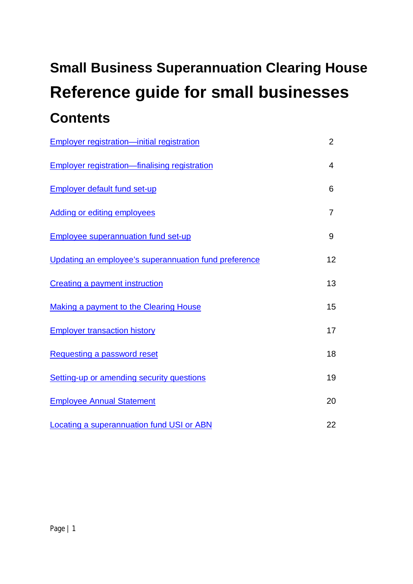# **Small Business Superannuation Clearing House Reference guide for small businesses Contents**

| <b>Employer registration-initial registration</b>     | $\overline{2}$ |
|-------------------------------------------------------|----------------|
| <b>Employer registration-finalising registration</b>  | $\overline{4}$ |
| <b>Employer default fund set-up</b>                   | 6              |
| <b>Adding or editing employees</b>                    | $\overline{7}$ |
| <b>Employee superannuation fund set-up</b>            | 9              |
| Updating an employee's superannuation fund preference | 12             |
| <b>Creating a payment instruction</b>                 | 13             |
| <b>Making a payment to the Clearing House</b>         | 15             |
| <b>Employer transaction history</b>                   | 17             |
| Requesting a password reset                           | 18             |
| Setting-up or amending security questions             | 19             |
| <b>Employee Annual Statement</b>                      | 20             |
| <b>Locating a superannuation fund USI or ABN</b>      | 22             |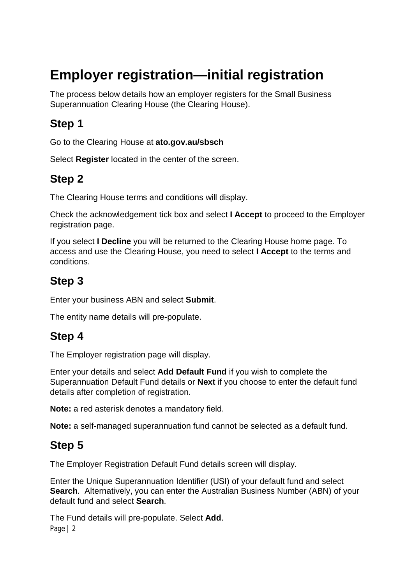# **Employer registration—initial registration**

The process below details how an employer registers for the Small Business Superannuation Clearing House (the Clearing House).

#### **Step 1**

Go to the Clearing House at **ato.gov.au/sbsch**

Select **Register** located in the center of the screen.

#### **Step 2**

The Clearing House terms and conditions will display.

Check the acknowledgement tick box and select **I Accept** to proceed to the Employer registration page.

If you select **I Decline** you will be returned to the Clearing House home page. To access and use the Clearing House, you need to select **I Accept** to the terms and conditions.

#### **Step 3**

Enter your business ABN and select **Submit**.

The entity name details will pre-populate.

#### **Step 4**

The Employer registration page will display.

Enter your details and select **Add Default Fund** if you wish to complete the Superannuation Default Fund details or **Next** if you choose to enter the default fund details after completion of registration.

**Note:** a red asterisk denotes a mandatory field.

**Note:** a self-managed superannuation fund cannot be selected as a default fund.

#### **Step 5**

The Employer Registration Default Fund details screen will display.

Enter the Unique Superannuation Identifier (USI) of your default fund and select **Search**. Alternatively, you can enter the Australian Business Number (ABN) of your default fund and select **Search**.

Page | 2 The Fund details will pre-populate. Select **Add**.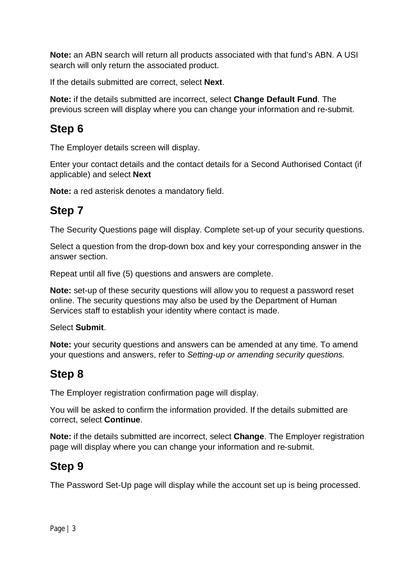**Note:** an ABN search will return all products associated with that fund's ABN. A USI search will only return the associated product.

If the details submitted are correct, select **Next**.

**Note:** if the details submitted are incorrect, select **Change Default Fund**. The previous screen will display where you can change your information and re-submit.

#### **Step 6**

The Employer details screen will display.

Enter your contact details and the contact details for a Second Authorised Contact (if applicable) and select **Next**

**Note:** a red asterisk denotes a mandatory field.

#### **Step 7**

The Security Questions page will display. Complete set-up of your security questions.

Select a question from the drop-down box and key your corresponding answer in the answer section.

Repeat until all five (5) questions and answers are complete.

**Note:** set-up of these security questions will allow you to request a password reset online. The security questions may also be used by the Department of Human Services staff to establish your identity where contact is made.

Select **Submit**.

**Note:** your security questions and answers can be amended at any time. To amend your questions and answers, refer to *Setting-up or amending security questions.*

### **Step 8**

The Employer registration confirmation page will display.

You will be asked to confirm the information provided. If the details submitted are correct, select **Continue**.

**Note:** if the details submitted are incorrect, select **Change**. The Employer registration page will display where you can change your information and re-submit.

#### **Step 9**

The Password Set-Up page will display while the account set up is being processed.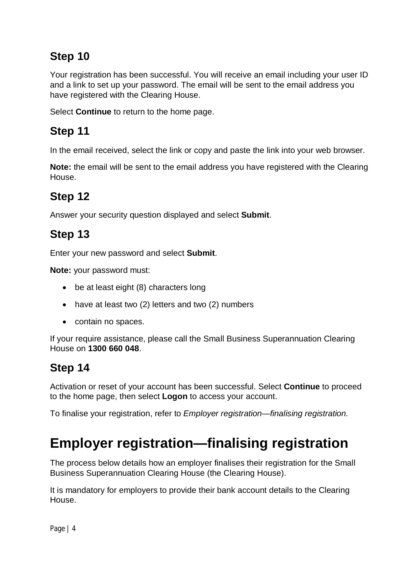Your registration has been successful. You will receive an email including your user ID and a link to set up your password. The email will be sent to the email address you have registered with the Clearing House.

Select **Continue** to return to the home page.

## **Step 11**

In the email received, select the link or copy and paste the link into your web browser.

**Note:** the email will be sent to the email address you have registered with the Clearing House.

### **Step 12**

Answer your security question displayed and select **Submit**.

## **Step 13**

Enter your new password and select **Submit**.

**Note:** your password must:

- be at least eight (8) characters long
- have at least two (2) letters and two (2) numbers
- contain no spaces.

If your require assistance, please call the Small Business Superannuation Clearing House on **1300 660 048**.

### **Step 14**

Activation or reset of your account has been successful. Select **Continue** to proceed to the home page, then select **Logon** to access your account.

To finalise your registration, refer to *Employer registration—finalising registration.*

# **Employer registration—finalising registration**

The process below details how an employer finalises their registration for the Small Business Superannuation Clearing House (the Clearing House).

It is mandatory for employers to provide their bank account details to the Clearing House.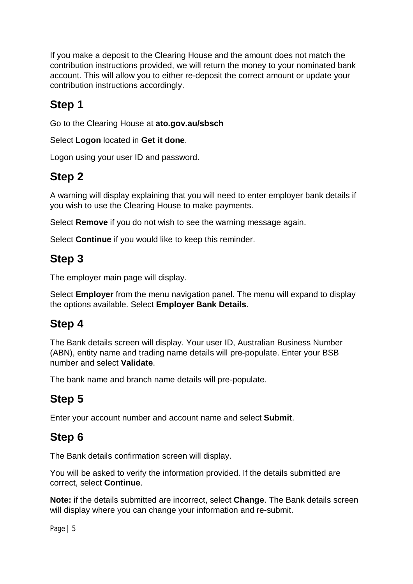If you make a deposit to the Clearing House and the amount does not match the contribution instructions provided, we will return the money to your nominated bank account. This will allow you to either re-deposit the correct amount or update your contribution instructions accordingly.

### **Step 1**

Go to the Clearing House at **ato.gov.au/sbsch**

Select **Logon** located in **Get it done**.

Logon using your user ID and password.

#### **Step 2**

A warning will display explaining that you will need to enter employer bank details if you wish to use the Clearing House to make payments.

Select **Remove** if you do not wish to see the warning message again.

Select **Continue** if you would like to keep this reminder.

#### **Step 3**

The employer main page will display.

Select **Employer** from the menu navigation panel. The menu will expand to display the options available. Select **Employer Bank Details**.

#### **Step 4**

The Bank details screen will display. Your user ID, Australian Business Number (ABN), entity name and trading name details will pre-populate. Enter your BSB number and select **Validate**.

The bank name and branch name details will pre-populate.

### **Step 5**

Enter your account number and account name and select **Submit**.

#### **Step 6**

The Bank details confirmation screen will display.

You will be asked to verify the information provided. If the details submitted are correct, select **Continue**.

**Note:** if the details submitted are incorrect, select **Change**. The Bank details screen will display where you can change your information and re-submit.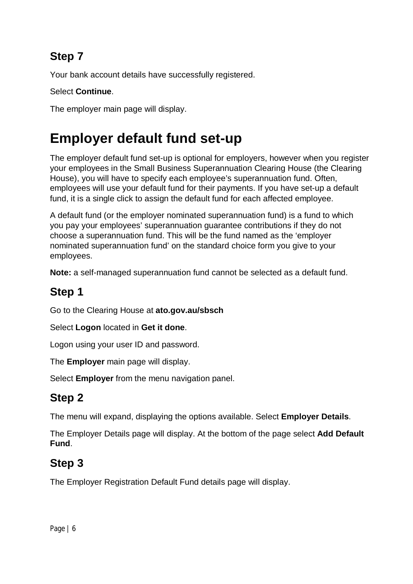Your bank account details have successfully registered.

#### Select **Continue**.

The employer main page will display.

# **Employer default fund set-up**

The employer default fund set-up is optional for employers, however when you register your employees in the Small Business Superannuation Clearing House (the Clearing House), you will have to specify each employee's superannuation fund. Often, employees will use your default fund for their payments. If you have set-up a default fund, it is a single click to assign the default fund for each affected employee.

A default fund (or the employer nominated superannuation fund) is a fund to which you pay your employees' superannuation guarantee contributions if they do not choose a superannuation fund. This will be the fund named as the 'employer nominated superannuation fund' on the standard choice form you give to your employees.

**Note:** a self-managed superannuation fund cannot be selected as a default fund.

#### **Step 1**

Go to the Clearing House at **ato.gov.au/sbsch**

Select **Logon** located in **Get it done**.

Logon using your user ID and password.

The **Employer** main page will display.

Select **Employer** from the menu navigation panel.

#### **Step 2**

The menu will expand, displaying the options available. Select **Employer Details**.

The Employer Details page will display. At the bottom of the page select **Add Default Fund**.

#### **Step 3**

The Employer Registration Default Fund details page will display.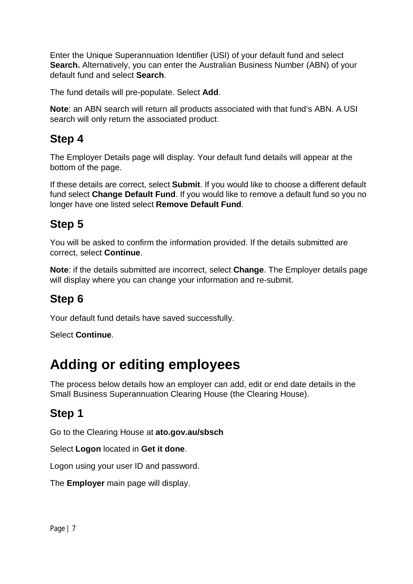Enter the Unique Superannuation Identifier (USI) of your default fund and select **Search.** Alternatively, you can enter the Australian Business Number (ABN) of your default fund and select **Search**.

The fund details will pre-populate. Select **Add**.

**Note**: an ABN search will return all products associated with that fund's ABN. A USI search will only return the associated product.

#### **Step 4**

The Employer Details page will display. Your default fund details will appear at the bottom of the page.

If these details are correct, select **Submit**. If you would like to choose a different default fund select **Change Default Fund**. If you would like to remove a default fund so you no longer have one listed select **Remove Default Fund**.

#### **Step 5**

You will be asked to confirm the information provided. If the details submitted are correct, select **Continue**.

**Note**: if the details submitted are incorrect, select **Change**. The Employer details page will display where you can change your information and re-submit.

#### **Step 6**

Your default fund details have saved successfully.

Select **Continue**.

# **Adding or editing employees**

The process below details how an employer can add, edit or end date details in the Small Business Superannuation Clearing House (the Clearing House).

#### **Step 1**

Go to the Clearing House at **ato.gov.au/sbsch**

Select **Logon** located in **Get it done**.

Logon using your user ID and password.

The **Employer** main page will display.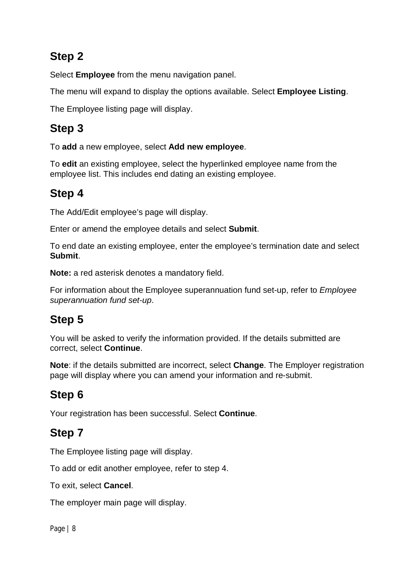Select **Employee** from the menu navigation panel.

The menu will expand to display the options available. Select **Employee Listing**.

The Employee listing page will display.

#### **Step 3**

To **add** a new employee, select **Add new employee**.

To **edit** an existing employee, select the hyperlinked employee name from the employee list. This includes end dating an existing employee.

### **Step 4**

The Add/Edit employee's page will display.

Enter or amend the employee details and select **Submit**.

To end date an existing employee, enter the employee's termination date and select **Submit**.

**Note:** a red asterisk denotes a mandatory field.

For information about the Employee superannuation fund set-up, refer to *Employee superannuation fund set-up*.

# **Step 5**

You will be asked to verify the information provided. If the details submitted are correct, select **Continue**.

**Note**: if the details submitted are incorrect, select **Change**. The Employer registration page will display where you can amend your information and re-submit.

### **Step 6**

Your registration has been successful. Select **Continue**.

### **Step 7**

The Employee listing page will display.

To add or edit another employee, refer to step 4.

To exit, select **Cancel**.

The employer main page will display.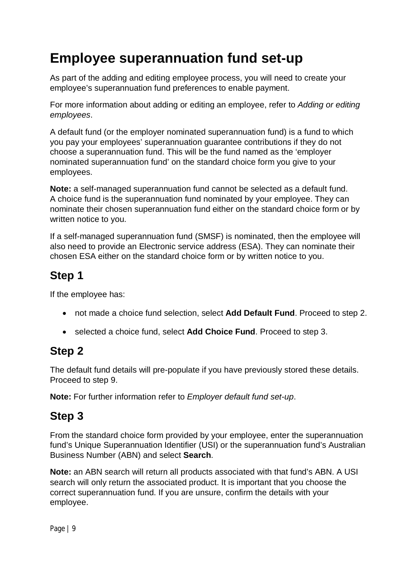# **Employee superannuation fund set-up**

As part of the adding and editing employee process, you will need to create your employee's superannuation fund preferences to enable payment.

For more information about adding or editing an employee, refer to *Adding or editing employees*.

A default fund (or the employer nominated superannuation fund) is a fund to which you pay your employees' superannuation guarantee contributions if they do not choose a superannuation fund. This will be the fund named as the 'employer nominated superannuation fund' on the standard choice form you give to your employees.

**Note:** a self-managed superannuation fund cannot be selected as a default fund. A choice fund is the superannuation fund nominated by your employee. They can nominate their chosen superannuation fund either on the standard choice form or by written notice to you.

If a self-managed superannuation fund (SMSF) is nominated, then the employee will also need to provide an Electronic service address (ESA). They can nominate their chosen ESA either on the standard choice form or by written notice to you.

#### **Step 1**

If the employee has:

- not made a choice fund selection, select **Add Default Fund**. Proceed to step 2.
- selected a choice fund, select **Add Choice Fund**. Proceed to step 3.

#### **Step 2**

The default fund details will pre-populate if you have previously stored these details. Proceed to step 9.

**Note:** For further information refer to *Employer default fund set-up*.

#### **Step 3**

From the standard choice form provided by your employee, enter the superannuation fund's Unique Superannuation Identifier (USI) or the superannuation fund's Australian Business Number (ABN) and select **Search**.

**Note:** an ABN search will return all products associated with that fund's ABN. A USI search will only return the associated product. It is important that you choose the correct superannuation fund. If you are unsure, confirm the details with your employee.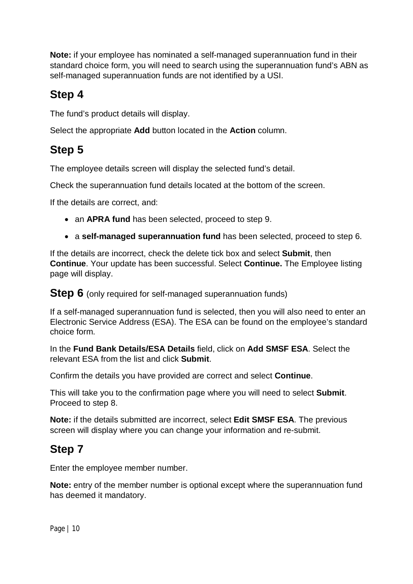**Note:** if your employee has nominated a self-managed superannuation fund in their standard choice form, you will need to search using the superannuation fund's ABN as self-managed superannuation funds are not identified by a USI.

#### **Step 4**

The fund's product details will display.

Select the appropriate **Add** button located in the **Action** column.

## **Step 5**

The employee details screen will display the selected fund's detail.

Check the superannuation fund details located at the bottom of the screen.

If the details are correct, and:

- an **APRA fund** has been selected, proceed to step 9.
- a **self-managed superannuation fund** has been selected, proceed to step 6.

If the details are incorrect, check the delete tick box and select **Submit**, then **Continue**. Your update has been successful. Select **Continue.** The Employee listing page will display.

**Step 6** (only required for self-managed superannuation funds)

If a self-managed superannuation fund is selected, then you will also need to enter an Electronic Service Address (ESA). The ESA can be found on the employee's standard choice form.

In the **Fund Bank Details/ESA Details** field, click on **Add SMSF ESA**. Select the relevant ESA from the list and click **Submit**.

Confirm the details you have provided are correct and select **Continue**.

This will take you to the confirmation page where you will need to select **Submit**. Proceed to step 8.

**Note:** if the details submitted are incorrect, select **Edit SMSF ESA**. The previous screen will display where you can change your information and re-submit.

#### **Step 7**

Enter the employee member number.

**Note:** entry of the member number is optional except where the superannuation fund has deemed it mandatory.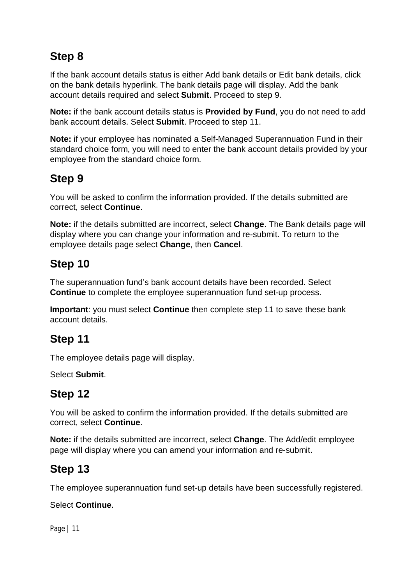If the bank account details status is either Add bank details or Edit bank details, click on the bank details hyperlink. The bank details page will display. Add the bank account details required and select **Submit**. Proceed to step 9.

**Note:** if the bank account details status is **Provided by Fund**, you do not need to add bank account details. Select **Submit**. Proceed to step 11.

**Note:** if your employee has nominated a Self-Managed Superannuation Fund in their standard choice form, you will need to enter the bank account details provided by your employee from the standard choice form.

#### **Step 9**

You will be asked to confirm the information provided. If the details submitted are correct, select **Continue**.

**Note:** if the details submitted are incorrect, select **Change**. The Bank details page will display where you can change your information and re-submit. To return to the employee details page select **Change**, then **Cancel**.

#### **Step 10**

The superannuation fund's bank account details have been recorded. Select **Continue** to complete the employee superannuation fund set-up process.

**Important**: you must select **Continue** then complete step 11 to save these bank account details.

#### **Step 11**

The employee details page will display.

Select **Submit**.

#### **Step 12**

You will be asked to confirm the information provided. If the details submitted are correct, select **Continue**.

**Note:** if the details submitted are incorrect, select **Change**. The Add/edit employee page will display where you can amend your information and re-submit.

#### **Step 13**

The employee superannuation fund set-up details have been successfully registered.

#### Select **Continue**.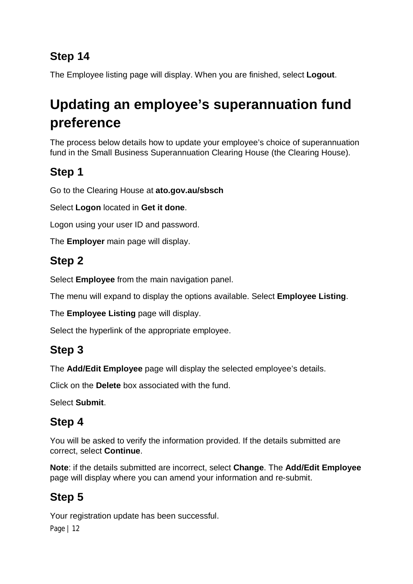The Employee listing page will display. When you are finished, select **Logout**.

# **Updating an employee's superannuation fund preference**

The process below details how to update your employee's choice of superannuation fund in the Small Business Superannuation Clearing House (the Clearing House).

### **Step 1**

Go to the Clearing House at **ato.gov.au/sbsch**

Select **Logon** located in **Get it done**.

Logon using your user ID and password.

The **Employer** main page will display.

#### **Step 2**

Select **Employee** from the main navigation panel.

The menu will expand to display the options available. Select **Employee Listing**.

The **Employee Listing** page will display.

Select the hyperlink of the appropriate employee.

### **Step 3**

The **Add/Edit Employee** page will display the selected employee's details.

Click on the **Delete** box associated with the fund.

Select **Submit**.

### **Step 4**

You will be asked to verify the information provided. If the details submitted are correct, select **Continue**.

**Note**: if the details submitted are incorrect, select **Change**. The **Add/Edit Employee** page will display where you can amend your information and re-submit.

# **Step 5**

Your registration update has been successful.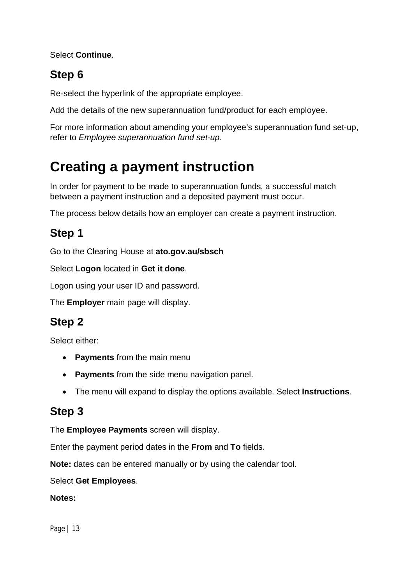Select **Continue**.

### **Step 6**

Re-select the hyperlink of the appropriate employee.

Add the details of the new superannuation fund/product for each employee.

For more information about amending your employee's superannuation fund set-up, refer to *Employee superannuation fund set-up.*

# **Creating a payment instruction**

In order for payment to be made to superannuation funds, a successful match between a payment instruction and a deposited payment must occur.

The process below details how an employer can create a payment instruction.

## **Step 1**

Go to the Clearing House at **ato.gov.au/sbsch**

Select **Logon** located in **Get it done**.

Logon using your user ID and password.

The **Employer** main page will display.

#### **Step 2**

Select either:

- **Payments** from the main menu
- **Payments** from the side menu navigation panel.
- The menu will expand to display the options available. Select **Instructions**.

#### **Step 3**

The **Employee Payments** screen will display.

Enter the payment period dates in the **From** and **To** fields.

**Note:** dates can be entered manually or by using the calendar tool.

Select **Get Employees**.

#### **Notes:**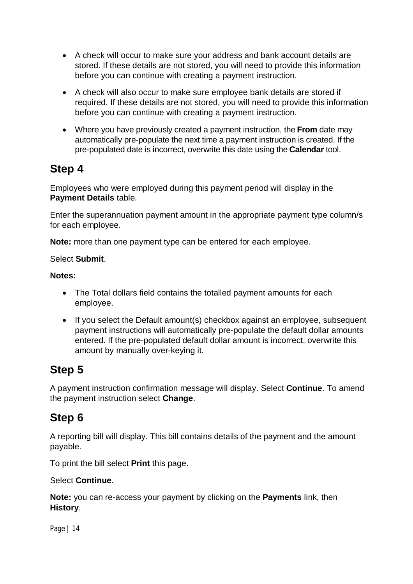- A check will occur to make sure your address and bank account details are stored. If these details are not stored, you will need to provide this information before you can continue with creating a payment instruction.
- A check will also occur to make sure employee bank details are stored if required. If these details are not stored, you will need to provide this information before you can continue with creating a payment instruction.
- Where you have previously created a payment instruction, the **From** date may automatically pre-populate the next time a payment instruction is created. If the pre-populated date is incorrect, overwrite this date using the **Calendar** tool.

Employees who were employed during this payment period will display in the **Payment Details** table.

Enter the superannuation payment amount in the appropriate payment type column/s for each employee.

**Note:** more than one payment type can be entered for each employee.

#### Select **Submit**.

#### **Notes:**

- The Total dollars field contains the totalled payment amounts for each employee.
- If you select the Default amount(s) checkbox against an employee, subsequent payment instructions will automatically pre-populate the default dollar amounts entered. If the pre-populated default dollar amount is incorrect, overwrite this amount by manually over-keying it.

#### **Step 5**

A payment instruction confirmation message will display. Select **Continue**. To amend the payment instruction select **Change**.

#### **Step 6**

A reporting bill will display. This bill contains details of the payment and the amount payable.

To print the bill select **Print** this page.

#### Select **Continue**.

**Note:** you can re-access your payment by clicking on the **Payments** link, then **History**.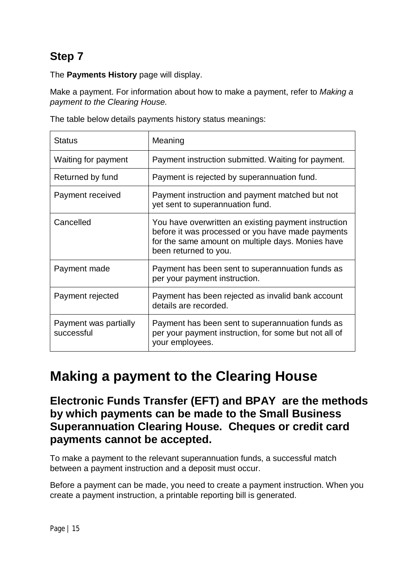The **Payments History** page will display.

Make a payment. For information about how to make a payment, refer to *Making a payment to the Clearing House.*

| The table below details payments history status meanings: |  |
|-----------------------------------------------------------|--|
|-----------------------------------------------------------|--|

| <b>Status</b>                       | Meaning                                                                                                                                                                                 |
|-------------------------------------|-----------------------------------------------------------------------------------------------------------------------------------------------------------------------------------------|
| Waiting for payment                 | Payment instruction submitted. Waiting for payment.                                                                                                                                     |
| Returned by fund                    | Payment is rejected by superannuation fund.                                                                                                                                             |
| Payment received                    | Payment instruction and payment matched but not<br>yet sent to superannuation fund.                                                                                                     |
| Cancelled                           | You have overwritten an existing payment instruction<br>before it was processed or you have made payments<br>for the same amount on multiple days. Monies have<br>been returned to you. |
| Payment made                        | Payment has been sent to superannuation funds as<br>per your payment instruction.                                                                                                       |
| Payment rejected                    | Payment has been rejected as invalid bank account<br>details are recorded.                                                                                                              |
| Payment was partially<br>successful | Payment has been sent to superannuation funds as<br>per your payment instruction, for some but not all of<br>your employees.                                                            |

# **Making a payment to the Clearing House**

**Electronic Funds Transfer (EFT) and BPAY are the methods by which payments can be made to the Small Business Superannuation Clearing House. Cheques or credit card payments cannot be accepted.**

To make a payment to the relevant superannuation funds, a successful match between a payment instruction and a deposit must occur.

Before a payment can be made, you need to create a payment instruction. When you create a payment instruction, a printable reporting bill is generated.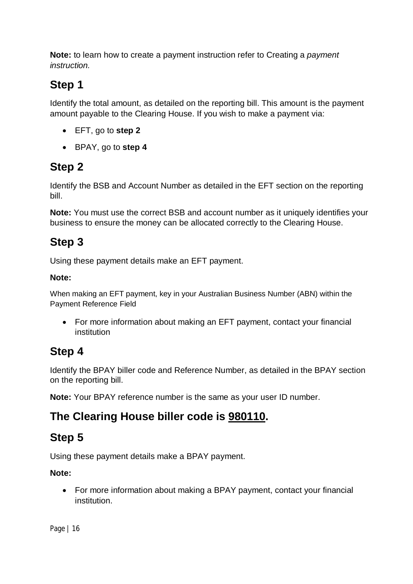**Note:** to learn how to create a payment instruction refer to Creating a *payment instruction.*

### **Step 1**

Identify the total amount, as detailed on the reporting bill. This amount is the payment amount payable to the Clearing House. If you wish to make a payment via:

- EFT, go to **step 2**
- BPAY, go to **step 4**

# **Step 2**

Identify the BSB and Account Number as detailed in the EFT section on the reporting bill.

**Note:** You must use the correct BSB and account number as it uniquely identifies your business to ensure the money can be allocated correctly to the Clearing House.

## **Step 3**

Using these payment details make an EFT payment.

#### **Note:**

When making an EFT payment, key in your Australian Business Number (ABN) within the Payment Reference Field

• For more information about making an EFT payment, contact your financial institution

### **Step 4**

Identify the BPAY biller code and Reference Number, as detailed in the BPAY section on the reporting bill.

**Note:** Your BPAY reference number is the same as your user ID number.

### **The Clearing House biller code is 980110.**

# **Step 5**

Using these payment details make a BPAY payment.

#### **Note:**

 For more information about making a BPAY payment, contact your financial institution.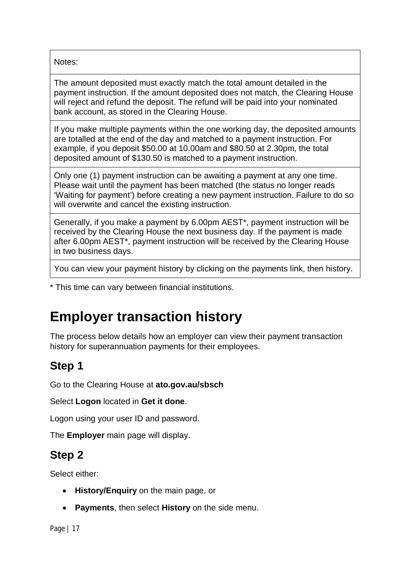Notes:

The amount deposited must exactly match the total amount detailed in the payment instruction. If the amount deposited does not match, the Clearing House will reject and refund the deposit. The refund will be paid into your nominated bank account, as stored in the Clearing House.

If you make multiple payments within the one working day, the deposited amounts are totalled at the end of the day and matched to a payment instruction. For example, if you deposit \$50.00 at 10.00am and \$80.50 at 2.30pm, the total deposited amount of \$130.50 is matched to a payment instruction.

Only one (1) payment instruction can be awaiting a payment at any one time. Please wait until the payment has been matched (the status no longer reads 'Waiting for payment') before creating a new payment instruction. Failure to do so will overwrite and cancel the existing instruction.

Generally, if you make a payment by 6.00pm AEST\*, payment instruction will be received by the Clearing House the next business day. If the payment is made after 6.00pm AEST\*, payment instruction will be received by the Clearing House in two business days.

You can view your payment history by clicking on the payments link, then history.

\* This time can vary between financial institutions.

# **Employer transaction history**

The process below details how an employer can view their payment transaction history for superannuation payments for their employees.

#### **Step 1**

Go to the Clearing House at **ato.gov.au/sbsch**

Select **Logon** located in **Get it done**.

Logon using your user ID and password.

The **Employer** main page will display.

#### **Step 2**

Select either:

- **History/Enquiry** on the main page, or
- **Payments**, then select **History** on the side menu.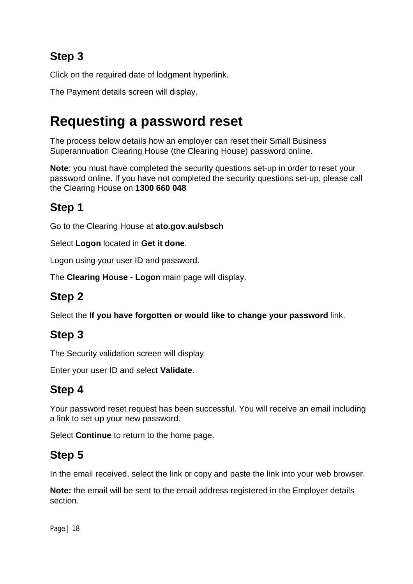Click on the required date of lodgment hyperlink.

The Payment details screen will display.

# **Requesting a password reset**

The process below details how an employer can reset their Small Business Superannuation Clearing House (the Clearing House) password online.

**Note**: you must have completed the security questions set-up in order to reset your password online. If you have not completed the security questions set-up, please call the Clearing House on **1300 660 048**

### **Step 1**

Go to the Clearing House at **ato.gov.au/sbsch**

Select **Logon** located in **Get it done**.

Logon using your user ID and password.

The **Clearing House - Logon** main page will display.

### **Step 2**

Select the **If you have forgotten or would like to change your password** link.

### **Step 3**

The Security validation screen will display.

Enter your user ID and select **Validate**.

# **Step 4**

Your password reset request has been successful. You will receive an email including a link to set-up your new password.

Select **Continue** to return to the home page.

### **Step 5**

In the email received, select the link or copy and paste the link into your web browser.

**Note:** the email will be sent to the email address registered in the Employer details section.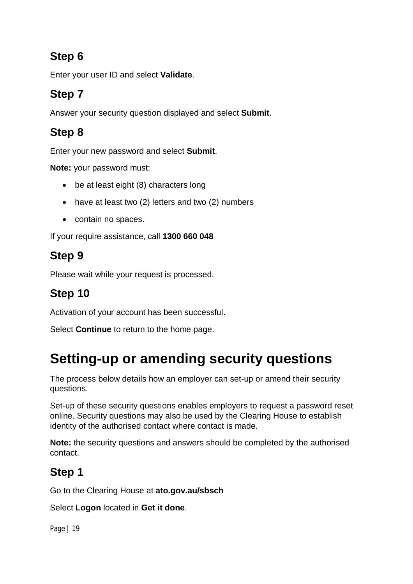Enter your user ID and select **Validate**.

# **Step 7**

Answer your security question displayed and select **Submit**.

# **Step 8**

Enter your new password and select **Submit**.

**Note:** your password must:

- be at least eight (8) characters long
- have at least two (2) letters and two (2) numbers
- contain no spaces.

If your require assistance, call **1300 660 048**

#### **Step 9**

Please wait while your request is processed.

# **Step 10**

Activation of your account has been successful.

Select **Continue** to return to the home page.

# **Setting-up or amending security questions**

The process below details how an employer can set-up or amend their security questions.

Set-up of these security questions enables employers to request a password reset online. Security questions may also be used by the Clearing House to establish identity of the authorised contact where contact is made.

**Note:** the security questions and answers should be completed by the authorised contact.

# **Step 1**

Go to the Clearing House at **ato.gov.au/sbsch**

Select **Logon** located in **Get it done**.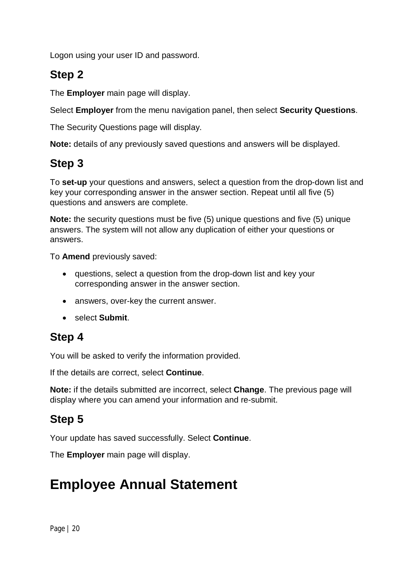Logon using your user ID and password.

#### **Step 2**

The **Employer** main page will display.

Select **Employer** from the menu navigation panel, then select **Security Questions**.

The Security Questions page will display.

**Note:** details of any previously saved questions and answers will be displayed.

#### **Step 3**

To **set-up** your questions and answers, select a question from the drop-down list and key your corresponding answer in the answer section. Repeat until all five (5) questions and answers are complete.

**Note:** the security questions must be five (5) unique questions and five (5) unique answers. The system will not allow any duplication of either your questions or answers.

To **Amend** previously saved:

- questions, select a question from the drop-down list and key your corresponding answer in the answer section.
- answers, over-key the current answer.
- select **Submit**.

#### **Step 4**

You will be asked to verify the information provided.

If the details are correct, select **Continue**.

**Note:** if the details submitted are incorrect, select **Change**. The previous page will display where you can amend your information and re-submit.

#### **Step 5**

Your update has saved successfully. Select **Continue**.

The **Employer** main page will display.

# **Employee Annual Statement**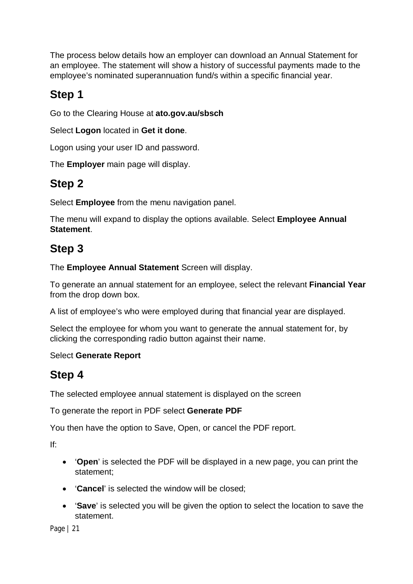The process below details how an employer can download an Annual Statement for an employee. The statement will show a history of successful payments made to the employee's nominated superannuation fund/s within a specific financial year.

### **Step 1**

Go to the Clearing House at **ato.gov.au/sbsch**

Select **Logon** located in **Get it done**.

Logon using your user ID and password.

The **Employer** main page will display.

#### **Step 2**

Select **Employee** from the menu navigation panel.

The menu will expand to display the options available. Select **Employee Annual Statement**.

### **Step 3**

The **Employee Annual Statement** Screen will display.

To generate an annual statement for an employee, select the relevant **Financial Year** from the drop down box.

A list of employee's who were employed during that financial year are displayed.

Select the employee for whom you want to generate the annual statement for, by clicking the corresponding radio button against their name.

#### Select **Generate Report**

#### **Step 4**

The selected employee annual statement is displayed on the screen

To generate the report in PDF select **Generate PDF**

You then have the option to Save, Open, or cancel the PDF report.

If:

- '**Open**' is selected the PDF will be displayed in a new page, you can print the statement;
- '**Cancel**' is selected the window will be closed;
- '**Save**' is selected you will be given the option to select the location to save the statement.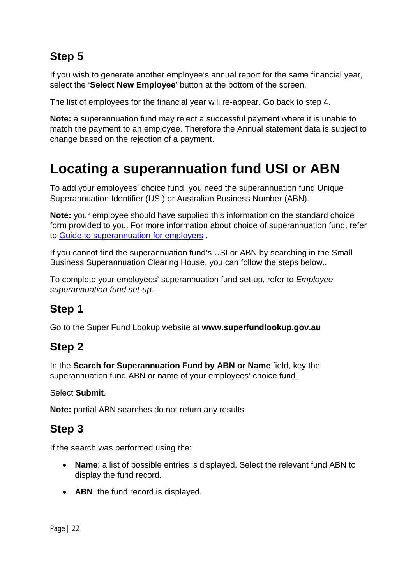If you wish to generate another employee's annual report for the same financial year, select the '**Select New Employee**' button at the bottom of the screen.

The list of employees for the financial year will re-appear. Go back to step 4.

**Note:** a superannuation fund may reject a successful payment where it is unable to match the payment to an employee. Therefore the Annual statement data is subject to change based on the rejection of a payment.

# **Locating a superannuation fund USI or ABN**

To add your employees' choice fund, you need the superannuation fund Unique Superannuation Identifier (USI) or Australian Business Number (ABN).

**Note:** your employee should have supplied this information on the standard choice form provided to you. For more information about choice of superannuation fund, refer to Guide to superannuation for employers .

If you cannot find the superannuation fund's USI or ABN by searching in the Small Business Superannuation Clearing House, you can follow the steps below..

To complete your employees' superannuation fund set-up, refer to *Employee superannuation fund set-up*.

#### **Step 1**

Go to the Super Fund Lookup website at **[www.superfundlookup.gov.au](http://www.superfundlookup.gov.au)**

#### **Step 2**

In the **Search for Superannuation Fund by ABN or Name** field, key the superannuation fund ABN or name of your employees' choice fund.

Select **Submit**.

**Note:** partial ABN searches do not return any results.

### **Step 3**

If the search was performed using the:

- **Name**: a list of possible entries is displayed. Select the relevant fund ABN to display the fund record.
- **ABN:** the fund record is displayed.